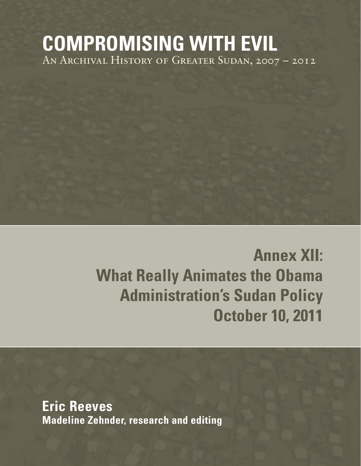## **COMPROMISING WITH EVIL** An Archival History of Greater Sudan, 2007 – 2012

# **Annex XII: What Really Animates the Obama Administration's Sudan Policy October 10, 2011**

**Eric Reeves Madeline Zehnder, research and editing**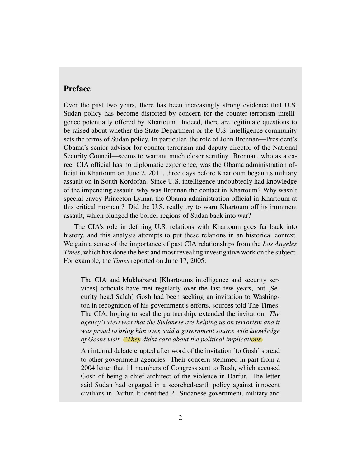## Preface

Over the past two years, there has been increasingly strong evidence that U.S. Sudan policy has become distorted by concern for the counter-terrorism intelligence potentially offered by Khartoum. Indeed, there are legitimate questions to be raised about whether the State Department or the U.S. intelligence community sets the terms of Sudan policy. In particular, the role of John Brennan—President's Obama's senior advisor for counter-terrorism and deputy director of the National Security Council—seems to warrant much closer scrutiny. Brennan, who as a career CIA official has no diplomatic experience, was the Obama administration official in Khartoum on June 2, 2011, three days before Khartoum began its military assault on in South Kordofan. Since U.S. intelligence undoubtedly had knowledge of the impending assault, why was Brennan the contact in Khartoum? Why wasn't special envoy Princeton Lyman the Obama administration official in Khartoum at this critical moment? Did the U.S. really try to warn Khartoum off its imminent assault, which plunged the border regions of Sudan back into war?

The CIA's role in defining U.S. relations with Khartoum goes far back into history, and this analysis attempts to put these relations in an historical context. We gain a sense of the importance of past CIA relationships from the *Los Angeles Times*, which has done the best and most revealing investigative work on the subject. For example, the *Times* reported on June 17, 2005:

The CIA and Mukhabarat [Khartoums intelligence and security services] officials have met regularly over the last few years, but [Security head Salah] Gosh had been seeking an invitation to Washington in recognition of his government's efforts, sources told The Times. The CIA, hoping to seal the partnership, extended the invitation. *The agency's view was that the Sudanese are helping us on terrorism and it was proud to bring him over, said a government source with knowledge of Goshs visit. "They didnt care about the political implications.*

An internal debate erupted after word of the invitation [to Gosh] spread to other government agencies. Their concern stemmed in part from a 2004 letter that 11 members of Congress sent to Bush, which accused Gosh of being a chief architect of the violence in Darfur. The letter said Sudan had engaged in a scorched-earth policy against innocent civilians in Darfur. It identified 21 Sudanese government, military and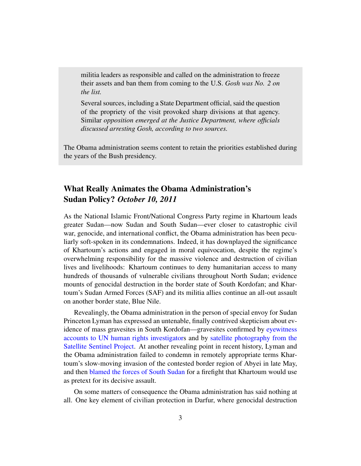militia leaders as responsible and called on the administration to freeze their assets and ban them from coming to the U.S. *Gosh was No. 2 on the list.*

Several sources, including a State Department official, said the question of the propriety of the visit provoked sharp divisions at that agency. Similar *opposition emerged at the Justice Department, where officials discussed arresting Gosh, according to two sources.*

The Obama administration seems content to retain the priorities established during the years of the Bush presidency.

## What Really Animates the Obama Administration's Sudan Policy? *October 10, 2011*

As the National Islamic Front/National Congress Party regime in Khartoum leads greater Sudan—now Sudan and South Sudan—ever closer to catastrophic civil war, genocide, and international conflict, the Obama administration has been peculiarly soft-spoken in its condemnations. Indeed, it has downplayed the significance of Khartoum's actions and engaged in moral equivocation, despite the regime's overwhelming responsibility for the massive violence and destruction of civilian lives and livelihoods: Khartoum continues to deny humanitarian access to many hundreds of thousands of vulnerable civilians throughout North Sudan; evidence mounts of genocidal destruction in the border state of South Kordofan; and Khartoum's Sudan Armed Forces (SAF) and its militia allies continue an all-out assault on another border state, Blue Nile.

Revealingly, the Obama administration in the person of special envoy for Sudan Princeton Lyman has expressed an untenable, finally contrived skepticism about evidence of mass gravesites in South Kordofan—gravesites confirmed by [eyewitness](http://www.sudantribune.com/-Reports,004-) [accounts to UN human rights investigators](http://www.sudantribune.com/-Reports,004-) and by [satellite photography from the](http://www.satsentinel.org/reports) [Satellite Sentinel Project.](http://www.satsentinel.org/reports) At another revealing point in recent history, Lyman and the Obama administration failed to condemn in remotely appropriate terms Khartoum's slow-moving invasion of the contested border region of Abyei in late May, and then [blamed the forces of South Sudan](http://dissentmagazine.org/atw.php?id=457) for a firefight that Khartoum would use as pretext for its decisive assault.

On some matters of consequence the Obama administration has said nothing at all. One key element of civilian protection in Darfur, where genocidal destruction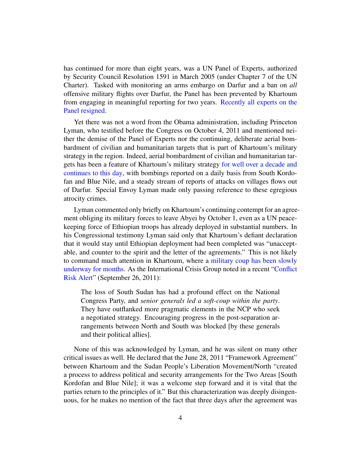has continued for more than eight years, was a UN Panel of Experts, authorized by Security Council Resolution 1591 in March 2005 (under Chapter 7 of the UN Charter). Tasked with monitoring an arms embargo on Darfur and a ban on *all* offensive military flights over Darfur, the Panel has been prevented by Khartoum from engaging in meaningful reporting for two years. [Recently all experts on the](http://www.dissentmagazine.org/atw.php?id=561) [Panel resigned.](http://www.dissentmagazine.org/atw.php?id=561)

Yet there was not a word from the Obama administration, including Princeton Lyman, who testified before the Congress on October 4, 2011 and mentioned neither the demise of the Panel of Experts nor the continuing, deliberate aerial bombardment of civilian and humanitarian targets that is part of Khartoum's military strategy in the region. Indeed, aerial bombardment of civilian and humanitarian targets has been a feature of Khartoum's military strategy [for well over a decade and](http://www.sudanbombing.org/) [continues to this day,](http://www.sudanbombing.org/) with bombings reported on a daily basis from South Kordofan and Blue Nile, and a steady stream of reports of attacks on villages flows out of Darfur. Special Envoy Lyman made only passing reference to these egregious atrocity crimes.

Lyman commented only briefly on Khartoum's continuing contempt for an agreement obliging its military forces to leave Abyei by October 1, even as a UN peacekeeping force of Ethiopian troops has already deployed in substantial numbers. In his Congressional testimony Lyman said only that Khartoum's defiant declaration that it would stay until Ethiopian deployment had been completed was "unacceptable, and counter to the spirit and the letter of the agreements." This is not likely to command much attention in Khartoum, where a [military coup has been slowly](http://www.sudanreeves.org/2011/10/10/2011/08/10/a-creeping-military-coup-in-khartoum-dissent-magazine-on-line-august-10-2011/) [underway for months.](http://www.sudanreeves.org/2011/10/10/2011/08/10/a-creeping-military-coup-in-khartoum-dissent-magazine-on-line-august-10-2011/) As the International Crisis Group noted in a recent ["Conflict](http://www.crisisgroup.org/en/publication-type/media-releases/2011/africa/stopping-the-spread-of-sudans-new-civil-war.aspx) [Risk Alert"](http://www.crisisgroup.org/en/publication-type/media-releases/2011/africa/stopping-the-spread-of-sudans-new-civil-war.aspx) (September 26, 2011):

The loss of South Sudan has had a profound effect on the National Congress Party, and *senior generals led a soft-coup within the party*. They have outflanked more pragmatic elements in the NCP who seek a negotiated strategy. Encouraging progress in the post-separation arrangements between North and South was blocked [by these generals and their political allies].

None of this was acknowledged by Lyman, and he was silent on many other critical issues as well. He declared that the June 28, 2011 "Framework Agreement" between Khartoum and the Sudan People's Liberation Movement/North "created a process to address political and security arrangements for the Two Areas [South Kordofan and Blue Nile]; it was a welcome step forward and it is vital that the parties return to the principles of it." But this characterization was deeply disingenuous, for he makes no mention of the fact that three days after the agreement was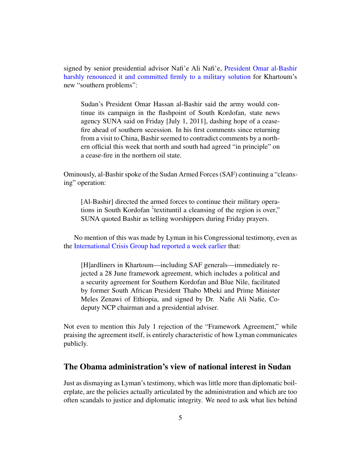signed by senior presidential advisor Nafi'e Ali Nafi'e, [President Omar al-Bashir](http://af.reuters.com/article/topNews/idAFJOE76101K20110702) [harshly renounced it and committed firmly to a military solution](http://af.reuters.com/article/topNews/idAFJOE76101K20110702) for Khartoum's new "southern problems":

Sudan's President Omar Hassan al-Bashir said the army would continue its campaign in the flashpoint of South Kordofan, state news agency SUNA said on Friday [July 1, 2011], dashing hope of a ceasefire ahead of southern secession. In his first comments since returning from a visit to China, Bashir seemed to contradict comments by a northern official this week that north and south had agreed "in principle" on a cease-fire in the northern oil state.

Ominously, al-Bashir spoke of the Sudan Armed Forces (SAF) continuing a "cleansing" operation:

[Al-Bashir] directed the armed forces to continue their military operations in South Kordofan `'textituntil a cleansing of the region is over," SUNA quoted Bashir as telling worshippers during Friday prayers.

No mention of this was made by Lyman in his Congressional testimony, even as the [International Crisis Group had reported a week earlier](http://www.crisisgroup.org/en/publication-type/media-releases/2011/africa/stopping-the-spread-of-sudans-new-civil-war.aspx) that:

[H]ardliners in Khartoum—including SAF generals—immediately rejected a 28 June framework agreement, which includes a political and a security agreement for Southern Kordofan and Blue Nile, facilitated by former South African President Thabo Mbeki and Prime Minister Meles Zenawi of Ethiopia, and signed by Dr. Nafie Ali Nafie, Codeputy NCP chairman and a presidential adviser.

Not even to mention this July 1 rejection of the "Framework Agreement," while praising the agreement itself, is entirely characteristic of how Lyman communicates publicly.

## The Obama administration's view of national interest in Sudan

Just as dismaying as Lyman's testimony, which was little more than diplomatic boilerplate, are the policies actually articulated by the administration and which are too often scandals to justice and diplomatic integrity. We need to ask what lies behind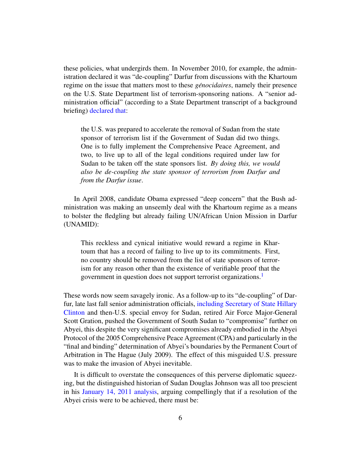these policies, what undergirds them. In November 2010, for example, the administration declared it was "de-coupling" Darfur from discussions with the Khartoum regime on the issue that matters most to these *génocidaires*, namely their presence on the U.S. State Department list of terrorism-sponsoring nations. A "senior administration official" (according to a State Department transcript of a background briefing) [declared that:](http://geneva.usmission.gov/2010/11/09/senior-administration-officials-on-developments-in-sudan/)

the U.S. was prepared to accelerate the removal of Sudan from the state sponsor of terrorism list if the Government of Sudan did two things. One is to fully implement the Comprehensive Peace Agreement, and two, to live up to all of the legal conditions required under law for Sudan to be taken off the state sponsors list. *By doing this, we would also be de-coupling the state sponsor of terrorism from Darfur and from the Darfur issue*.

In April 2008, candidate Obama expressed "deep concern" that the Bush administration was making an unseemly deal with the Khartoum regime as a means to bolster the fledgling but already failing UN/African Union Mission in Darfur (UNAMID):

<span id="page-5-0"></span>This reckless and cynical initiative would reward a regime in Khartoum that has a record of failing to live up to its commitments. First, no country should be removed from the list of state sponsors of terrorism for any reason other than the existence of verifiable proof that the government in question does not support terrorist organizations[.1](#page-22-0)

These words now seem savagely ironic. As a follow-up to its "de-coupling" of Darfur, late last fall senior administration officials, [including Secretary of State Hillary](http://www.tnr.com/blog/foreign-policy/77594/hillary-clinton-says-sudan-ticking-time-bomb-will-she-be-able-defuse-it) [Clinton](http://www.tnr.com/blog/foreign-policy/77594/hillary-clinton-says-sudan-ticking-time-bomb-will-she-be-able-defuse-it) and then-U.S. special envoy for Sudan, retired Air Force Major-General Scott Gration, pushed the Government of South Sudan to "compromise" further on Abyei, this despite the very significant compromises already embodied in the Abyei Protocol of the 2005 Comprehensive Peace Agreement (CPA) and particularly in the "final and binding" determination of Abyei's boundaries by the Permanent Court of Arbitration in The Hague (July 2009). The effect of this misguided U.S. pressure was to make the invasion of Abyei inevitable.

It is difficult to overstate the consequences of this perverse diplomatic squeezing, but the distinguished historian of Sudan Douglas Johnson was all too prescient in his [January 14, 2011 analysis,](http://www.humansecuritygateway.com/showRecord.php?RecordId=34970) arguing compellingly that if a resolution of the Abyei crisis were to be achieved, there must be: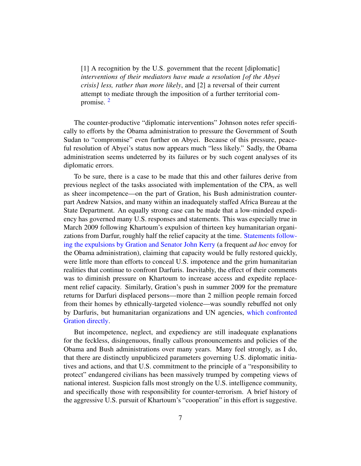<span id="page-6-0"></span>[1] A recognition by the U.S. government that the recent [diplomatic] *interventions of their mediators have made a resolution [of the Abyei crisis] less, rather than more likely*, and [2] a reversal of their current attempt to mediate through the imposition of a further territorial compromise. [2](#page-22-1)

The counter-productive "diplomatic interventions" Johnson notes refer specifically to efforts by the Obama administration to pressure the Government of South Sudan to "compromise" even further on Abyei. Because of this pressure, peaceful resolution of Abyei's status now appears much "less likely." Sadly, the Obama administration seems undeterred by its failures or by such cogent analyses of its diplomatic errors.

To be sure, there is a case to be made that this and other failures derive from previous neglect of the tasks associated with implementation of the CPA, as well as sheer incompetence—on the part of Gration, his Bush administration counterpart Andrew Natsios, and many within an inadequately staffed Africa Bureau at the State Department. An equally strong case can be made that a low-minded expediency has governed many U.S. responses and statements. This was especially true in March 2009 following Khartoum's expulsion of thirteen key humanitarian organizations from Darfur, roughly half the relief capacity at the time. [Statements follow](http://www.sudanreeves.org/2011/10/10/2009/05/14/darfur-humanitarian-expulsions-two-months-on/)[ing the expulsions by Gration and Senator John Kerry](http://www.sudanreeves.org/2011/10/10/2009/05/14/darfur-humanitarian-expulsions-two-months-on/) (a frequent *ad hoc* envoy for the Obama administration), claiming that capacity would be fully restored quickly, were little more than efforts to conceal U.S. impotence and the grim humanitarian realities that continue to confront Darfuris. Inevitably, the effect of their comments was to diminish pressure on Khartoum to increase access and expedite replacement relief capacity. Similarly, Gration's push in summer 2009 for the premature returns for Darfuri displaced persons—more than 2 million people remain forced from their homes by ethnically-targeted violence—was soundly rebuffed not only by Darfuris, but humanitarian organizations and UN agencies, [which confronted](http://www.sudanreeves.org/2011/10/10/2011/01/23/us-special-envoy-on-returns-of-displaced-persons-in-darfur-september-2009/) [Gration directly.](http://www.sudanreeves.org/2011/10/10/2011/01/23/us-special-envoy-on-returns-of-displaced-persons-in-darfur-september-2009/)

But incompetence, neglect, and expediency are still inadequate explanations for the feckless, disingenuous, finally callous pronouncements and policies of the Obama and Bush administrations over many years. Many feel strongly, as I do, that there are distinctly unpublicized parameters governing U.S. diplomatic initiatives and actions, and that U.S. commitment to the principle of a "responsibility to protect" endangered civilians has been massively trumped by competing views of national interest. Suspicion falls most strongly on the U.S. intelligence community, and specifically those with responsibility for counter-terrorism. A brief history of the aggressive U.S. pursuit of Khartoum's "cooperation" in this effort is suggestive.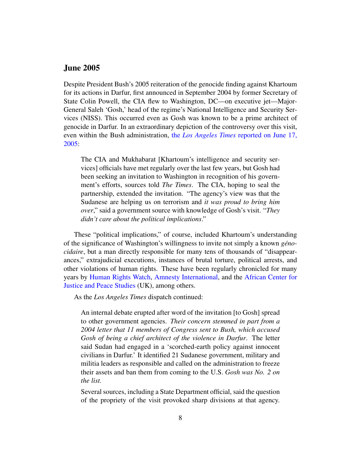### June 2005

Despite President Bush's 2005 reiteration of the genocide finding against Khartoum for its actions in Darfur, first announced in September 2004 by former Secretary of State Colin Powell, the CIA flew to Washington, DC—on executive jet—Major-General Saleh 'Gosh,' head of the regime's National Intelligence and Security Services (NISS). This occurred even as Gosh was known to be a prime architect of genocide in Darfur. In an extraordinary depiction of the controversy over this visit, even within the Bush administration, the *Los Angeles Times* [reported on June 17,](http://www.sudantribune.com/spip.php?page=imprimable&id_article=10205)  $2005:$ 

The CIA and Mukhabarat [Khartoum's intelligence and security services] officials have met regularly over the last few years, but Gosh had been seeking an invitation to Washington in recognition of his government's efforts, sources told *The Times*. The CIA, hoping to seal the partnership, extended the invitation. "The agency's view was that the Sudanese are helping us on terrorism and *it was proud to bring him over*," said a government source with knowledge of Gosh's visit. "*They didn't care about the political implications*."

These "political implications," of course, included Khartoum's understanding of the significance of Washington's willingness to invite not simply a known *geno- ´ cidaire*, but a man directly responsible for many tens of thousands of "disappearances," extrajudicial executions, instances of brutal torture, political arrests, and other violations of human rights. These have been regularly chronicled for many years by [Human Rights Watch,](http://www.hrw.org/africa/sudan) [Amnesty International,](http://www.unhcr.org/refworld/country,,AMNESTY,,SDN,,4dce153c5,0.html) and the [African Center for](http://www.acjps.org/Publications.html) [Justice and Peace Studies](http://www.acjps.org/Publications.html) (UK), among others.

As the *Los Angeles Times* dispatch continued:

An internal debate erupted after word of the invitation [to Gosh] spread to other government agencies. *Their concern stemmed in part from a 2004 letter that 11 members of Congress sent to Bush, which accused Gosh of being a chief architect of the violence in Darfur*. The letter said Sudan had engaged in a 'scorched-earth policy against innocent civilians in Darfur.' It identified 21 Sudanese government, military and militia leaders as responsible and called on the administration to freeze their assets and ban them from coming to the U.S. *Gosh was No. 2 on the list.*

Several sources, including a State Department official, said the question of the propriety of the visit provoked sharp divisions at that agency.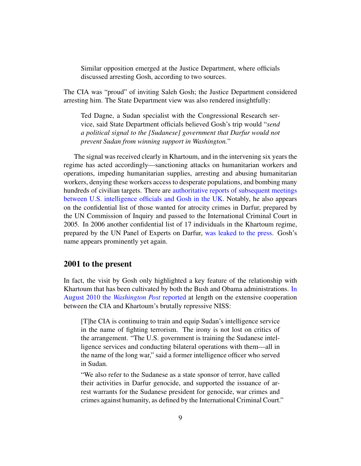Similar opposition emerged at the Justice Department, where officials discussed arresting Gosh, according to two sources.

The CIA was "proud" of inviting Saleh Gosh; the Justice Department considered arresting him. The State Department view was also rendered insightfully:

Ted Dagne, a Sudan specialist with the Congressional Research service, said State Department officials believed Gosh's trip would "*send a political signal to the [Sudanese] government that Darfur would not prevent Sudan from winning support in Washington.*"

The signal was received clearly in Khartoum, and in the intervening six years the regime has acted accordingly—sanctioning attacks on humanitarian workers and operations, impeding humanitarian supplies, arresting and abusing humanitarian workers, denying these workers access to desperate populations, and bombing many hundreds of civilian targets. There are [authoritative reports of subsequent meetings](http://www.guardian.co.uk/world/2006/mar/12/politics.sudan) [between U.S. intelligence officials and Gosh in the UK.](http://www.guardian.co.uk/world/2006/mar/12/politics.sudan) Notably, he also appears on the confidential list of those wanted for atrocity crimes in Darfur, prepared by the UN Commission of Inquiry and passed to the International Criminal Court in 2005. In 2006 another confidential list of 17 individuals in the Khartoum regime, prepared by the UN Panel of Experts on Darfur, [was leaked to the press.](http://www.ft.com/cms/s/0/c5991f38-a347-11da-ba72-0000779e2340.html#axzz1aCiqT0ta) Gosh's name appears prominently yet again.

#### 2001 to the present

In fact, the visit by Gosh only highlighted a key feature of the relationship with Khartoum that has been cultivated by both the Bush and Obama administrations. [In](http://voices.washingtonpost.com/spy-talk/2010/08/cia_training_sudans_spies_as_o.html) [August 2010 the](http://voices.washingtonpost.com/spy-talk/2010/08/cia_training_sudans_spies_as_o.html) *Washington Post* reported at length on the extensive cooperation between the CIA and Khartoum's brutally repressive NISS:

[T]he CIA is continuing to train and equip Sudan's intelligence service in the name of fighting terrorism. The irony is not lost on critics of the arrangement. "The U.S. government is training the Sudanese intelligence services and conducting bilateral operations with them—all in the name of the long war," said a former intelligence officer who served in Sudan.

"We also refer to the Sudanese as a state sponsor of terror, have called their activities in Darfur genocide, and supported the issuance of arrest warrants for the Sudanese president for genocide, war crimes and crimes against humanity, as defined by the International Criminal Court."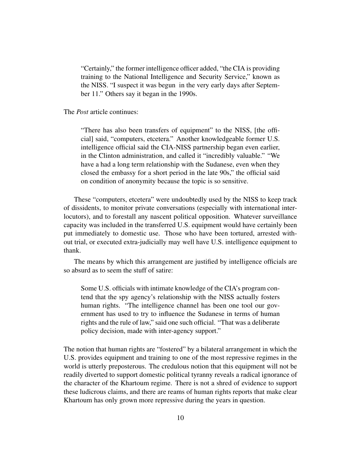"Certainly," the former intelligence officer added, "the CIA is providing training to the National Intelligence and Security Service," known as the NISS. "I suspect it was begun in the very early days after September 11." Others say it began in the 1990s.

The *Post* article continues:

"There has also been transfers of equipment" to the NISS, [the official] said, "computers, etcetera." Another knowledgeable former U.S. intelligence official said the CIA-NISS partnership began even earlier, in the Clinton administration, and called it "incredibly valuable." "We have a had a long term relationship with the Sudanese, even when they closed the embassy for a short period in the late 90s," the official said on condition of anonymity because the topic is so sensitive.

These "computers, etcetera" were undoubtedly used by the NISS to keep track of dissidents, to monitor private conversations (especially with international interlocutors), and to forestall any nascent political opposition. Whatever surveillance capacity was included in the transferred U.S. equipment would have certainly been put immediately to domestic use. Those who have been tortured, arrested without trial, or executed extra-judicially may well have U.S. intelligence equipment to thank.

The means by which this arrangement are justified by intelligence officials are so absurd as to seem the stuff of satire:

Some U.S. officials with intimate knowledge of the CIA's program contend that the spy agency's relationship with the NISS actually fosters human rights. "The intelligence channel has been one tool our government has used to try to influence the Sudanese in terms of human rights and the rule of law," said one such official. "That was a deliberate policy decision, made with inter-agency support."

The notion that human rights are "fostered" by a bilateral arrangement in which the U.S. provides equipment and training to one of the most repressive regimes in the world is utterly preposterous. The credulous notion that this equipment will not be readily diverted to support domestic political tyranny reveals a radical ignorance of the character of the Khartoum regime. There is not a shred of evidence to support these ludicrous claims, and there are reams of human rights reports that make clear Khartoum has only grown more repressive during the years in question.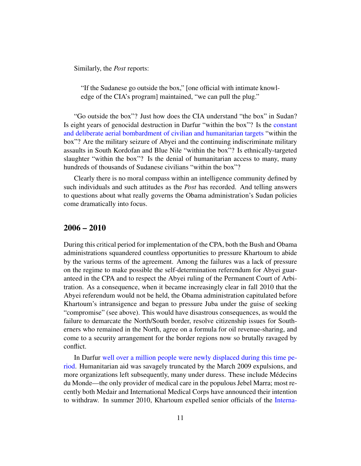Similarly, the *Post* reports:

"If the Sudanese go outside the box," [one official with intimate knowledge of the CIA's program] maintained, "we can pull the plug."

"Go outside the box"? Just how does the CIA understand "the box" in Sudan? Is eight years of genocidal destruction in Darfur "within the box"? Is the [constant](http://www.sudanbombing.org/) [and deliberate aerial bombardment of civilian and humanitarian targets](http://www.sudanbombing.org/) "within the box"? Are the military seizure of Abyei and the continuing indiscriminate military assaults in South Kordofan and Blue Nile "within the box"? Is ethnically-targeted slaughter "within the box"? Is the denial of humanitarian access to many, many hundreds of thousands of Sudanese civilians "within the box"?

Clearly there is no moral compass within an intelligence community defined by such individuals and such attitudes as the *Post* has recorded. And telling answers to questions about what really governs the Obama administration's Sudan policies come dramatically into focus.

#### 2006 – 2010

During this critical period for implementation of the CPA, both the Bush and Obama administrations squandered countless opportunities to pressure Khartoum to abide by the various terms of the agreement. Among the failures was a lack of pressure on the regime to make possible the self-determination referendum for Abyei guaranteed in the CPA and to respect the Abyei ruling of the Permanent Court of Arbitration. As a consequence, when it became increasingly clear in fall 2010 that the Abyei referendum would not be held, the Obama administration capitulated before Khartoum's intransigence and began to pressure Juba under the guise of seeking "compromise" (see above). This would have disastrous consequences, as would the failure to demarcate the North/South border, resolve citizenship issues for Southerners who remained in the North, agree on a formula for oil revenue-sharing, and come to a security arrangement for the border regions now so brutally ravaged by conflict.

In Darfur [well over a million people were newly displaced during this time pe](http://www.dissentmagazine.org/atw.php?id=438)[riod.](http://www.dissentmagazine.org/atw.php?id=438) Humanitarian aid was savagely truncated by the March 2009 expulsions, and more organizations left subsequently, many under duress. These include Médecins du Monde—the only provider of medical care in the populous Jebel Marra; most recently both Medair and International Medical Corps have announced their intention to withdraw. In summer 2010, Khartoum expelled senior officials of the [Interna-](http://af.reuters.com/article/sudanNews/idAFLDE66E1MX20100715)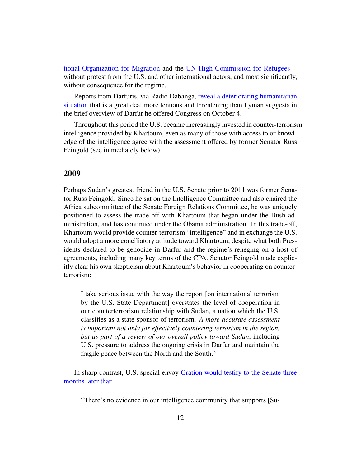[tional Organization for Migration](http://af.reuters.com/article/sudanNews/idAFLDE66E1MX20100715) and the [UN High Commission for Refugees](http://www.sudantribune.com/Sudan-expels-five-aid-workers-from,35973) without protest from the U.S. and other international actors, and most significantly, without consequence for the regime.

Reports from Darfuris, via Radio Dabanga, [reveal a deteriorating humanitarian](http://www.sudanreeves.org/2011/10/10/2011/01/23/darfur-humanitarian-overview-the-consequences-of-international-silence/) [situation](http://www.sudanreeves.org/2011/10/10/2011/01/23/darfur-humanitarian-overview-the-consequences-of-international-silence/) that is a great deal more tenuous and threatening than Lyman suggests in the brief overview of Darfur he offered Congress on October 4.

Throughout this period the U.S. became increasingly invested in counter-terrorism intelligence provided by Khartoum, even as many of those with access to or knowledge of the intelligence agree with the assessment offered by former Senator Russ Feingold (see immediately below).

#### 2009

Perhaps Sudan's greatest friend in the U.S. Senate prior to 2011 was former Senator Russ Feingold. Since he sat on the Intelligence Committee and also chaired the Africa subcommittee of the Senate Foreign Relations Committee, he was uniquely positioned to assess the trade-off with Khartoum that began under the Bush administration, and has continued under the Obama administration. In this trade-off, Khartoum would provide counter-terrorism "intelligence" and in exchange the U.S. would adopt a more conciliatory attitude toward Khartoum, despite what both Presidents declared to be genocide in Darfur and the regime's reneging on a host of agreements, including many key terms of the CPA. Senator Feingold made explicitly clear his own skepticism about Khartoum's behavior in cooperating on counterterrorism:

I take serious issue with the way the report [on international terrorism by the U.S. State Department] overstates the level of cooperation in our counterterrorism relationship with Sudan, a nation which the U.S. classifies as a state sponsor of terrorism. *A more accurate assessment is important not only for effectively countering terrorism in the region, but as part of a review of our overall policy toward Sudan*, including U.S. pressure to address the ongoing crisis in Darfur and maintain the fragile peace between the North and the South.<sup>3</sup>

In sharp contrast, U.S. special envoy [Gration would testify to the Senate three](http://www.npr.org/templates/story/story.php?storyId=111422940) [months later that:](http://www.npr.org/templates/story/story.php?storyId=111422940)

<span id="page-11-0"></span>"There's no evidence in our intelligence community that supports [Su-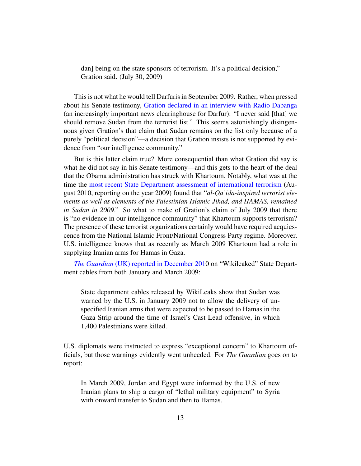dan] being on the state sponsors of terrorism. It's a political decision," Gration said. (July 30, 2009)

This is not what he would tell Darfuris in September 2009. Rather, when pressed about his Senate testimony, [Gration declared in an interview with Radio Dabanga](http://www.radiodabanga.org/node/392) (an increasingly important news clearinghouse for Darfur): "I never said [that] we should remove Sudan from the terrorist list." This seems astonishingly disingenuous given Gration's that claim that Sudan remains on the list only because of a purely "political decision"—a decision that Gration insists is not supported by evidence from "our intelligence community."

But is this latter claim true? More consequential than what Gration did say is what he did not say in his Senate testimony—and this gets to the heart of the deal that the Obama administration has struck with Khartoum. Notably, what was at the time the [most recent State Department assessment of international terrorism](http://www.state.gov/s/ct/rls/crt/2009/index.htm) (August 2010, reporting on the year 2009) found that "*al-Qa'ida-inspired terrorist elements as well as elements of the Palestinian Islamic Jihad, and HAMAS, remained in Sudan in 2009*." So what to make of Gration's claim of July 2009 that there is "no evidence in our intelligence community" that Khartoum supports terrorism? The presence of these terrorist organizations certainly would have required acquiescence from the National Islamic Front/National Congress Party regime. Moreover, U.S. intelligence knows that as recently as March 2009 Khartoum had a role in supplying Iranian arms for Hamas in Gaza.

*The Guardian* [\(UK\) reported in December 2010](http://www.guardian.co.uk/world/2010/dec/06/wikileaks-sudan-iranian-arms-gaza) on "Wikileaked" State Department cables from both January and March 2009:

State department cables released by WikiLeaks show that Sudan was warned by the U.S. in January 2009 not to allow the delivery of unspecified Iranian arms that were expected to be passed to Hamas in the Gaza Strip around the time of Israel's Cast Lead offensive, in which 1,400 Palestinians were killed.

U.S. diplomats were instructed to express "exceptional concern" to Khartoum officials, but those warnings evidently went unheeded. For *The Guardian* goes on to report:

In March 2009, Jordan and Egypt were informed by the U.S. of new Iranian plans to ship a cargo of "lethal military equipment" to Syria with onward transfer to Sudan and then to Hamas.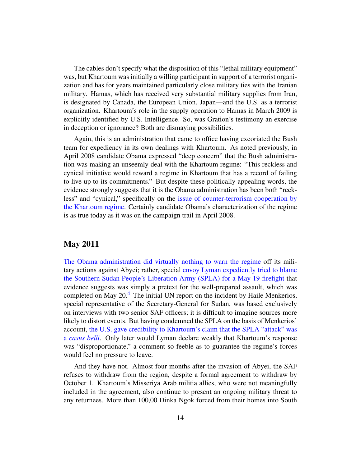The cables don't specify what the disposition of this "lethal military equipment" was, but Khartoum was initially a willing participant in support of a terrorist organization and has for years maintained particularly close military ties with the Iranian military. Hamas, which has received very substantial military supplies from Iran, is designated by Canada, the European Union, Japan—and the U.S. as a terrorist organization. Khartoum's role in the supply operation to Hamas in March 2009 is explicitly identified by U.S. Intelligence. So, was Gration's testimony an exercise in deception or ignorance? Both are dismaying possibilities.

Again, this is an administration that came to office having excoriated the Bush team for expediency in its own dealings with Khartoum. As noted previously, in April 2008 candidate Obama expressed "deep concern" that the Bush administration was making an unseemly deal with the Khartoum regime: "This reckless and cynical initiative would reward a regime in Khartoum that has a record of failing to live up to its commitments." But despite these politically appealing words, the evidence strongly suggests that it is the Obama administration has been both "reckless" and "cynical," specifically on the [issue of counter-terrorism cooperation by](http://www.e-ir.info/?p=7289) [the Khartoum regime.](http://www.e-ir.info/?p=7289) Certainly candidate Obama's characterization of the regime is as true today as it was on the campaign trail in April 2008.

### May 2011

<span id="page-13-0"></span>[The Obama administration did virtually nothing to warn the regime](http://www.dissentmagazine.org/atw.php?id=438) off its military actions against Abyei; rather, special [envoy Lyman expediently tried to blame](http://www.dissentmagazine.org/atw.php?id=457) [the Southern Sudan People's Liberation Army \(SPLA\) for a May 19 firefight](http://www.dissentmagazine.org/atw.php?id=457) that evidence suggests was simply a pretext for the well-prepared assault, which was completed on May  $20<sup>4</sup>$ . The initial UN report on the incident by Haile Menkerios, special representative of the Secretary-General for Sudan, was based exclusively on interviews with two senior SAF officers; it is difficult to imagine sources more likely to distort events. But having condemned the SPLA on the basis of Menkerios' account, [the U.S. gave credibility to Khartoum's claim that the SPLA "attack" was](http://dissentmagazine.org/atw.php?id=457) a *[casus belli](http://dissentmagazine.org/atw.php?id=457)*. Only later would Lyman declare weakly that Khartoum's response was "disproportionate," a comment so feeble as to guarantee the regime's forces would feel no pressure to leave.

And they have not. Almost four months after the invasion of Abyei, the SAF refuses to withdraw from the region, despite a formal agreement to withdraw by October 1. Khartoum's Misseriya Arab militia allies, who were not meaningfully included in the agreement, also continue to present an ongoing military threat to any returnees. More than 100,00 Dinka Ngok forced from their homes into South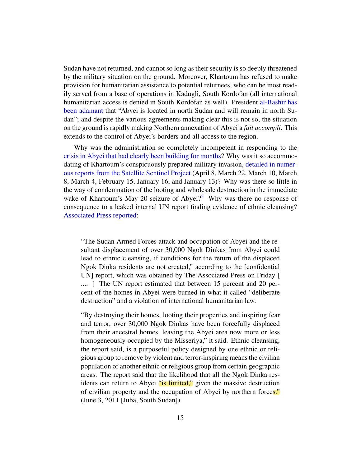Sudan have not returned, and cannot so long as their security is so deeply threatened by the military situation on the ground. Moreover, Khartoum has refused to make provision for humanitarian assistance to potential returnees, who can be most readily served from a base of operations in Kadugli, South Kordofan (all international humanitarian access is denied in South Kordofan as well). President [al-Bashir has](http://af.reuters.com/article/topNews/idAFJOE73Q0DK20110427) [been adamant](http://af.reuters.com/article/topNews/idAFJOE73Q0DK20110427) that "Abyei is located in north Sudan and will remain in north Sudan"; and despite the various agreements making clear this is not so, the situation on the ground is rapidly making Northern annexation of Abyei a *fait accompli*. This extends to the control of Abyei's borders and all access to the region.

Why was the administration so completely incompetent in responding to the [crisis in Abyei that had clearly been building for months?](http://www.sudanreeves.org/2011/10/10/2011/03/13/abyei-update-march-23-2011-continued-military-advance-by-khartoums-forces-increasing-risk-of-major-confrontation/) Why was it so accommodating of Khartoum's conspicuously prepared military invasion, [detailed in numer](http://www.satsentinel.org/reports)[ous reports from the Satellite Sentinel Project](http://www.satsentinel.org/reports) (April 8, March 22, March 10, March 8, March 4, February 15, January 16, and January 13)? Why was there so little in the way of condemnation of the looting and wholesale destruction in the immediate wake of Khartoum's May 20 seizure of Abyei?<sup>5</sup> Why was there no response of consequence to a leaked internal UN report finding evidence of ethnic cleansing? [Associated Press reported:](http://updatednews.ca/2011/06/03/un-report-warns-of-ethnic-cleansing-in-sudan/)

<span id="page-14-0"></span>"The Sudan Armed Forces attack and occupation of Abyei and the resultant displacement of over 30,000 Ngok Dinkas from Abyei could lead to ethnic cleansing, if conditions for the return of the displaced Ngok Dinka residents are not created," according to the [confidential UN] report, which was obtained by The Associated Press on Friday [ .... ] The UN report estimated that between 15 percent and 20 percent of the homes in Abyei were burned in what it called "deliberate destruction" and a violation of international humanitarian law.

"By destroying their homes, looting their properties and inspiring fear and terror, over 30,000 Ngok Dinkas have been forcefully displaced from their ancestral homes, leaving the Abyei area now more or less homogeneously occupied by the Misseriya," it said. Ethnic cleansing, the report said, is a purposeful policy designed by one ethnic or religious group to remove by violent and terror-inspiring means the civilian population of another ethnic or religious group from certain geographic areas. The report said that the likelihood that all the Ngok Dinka residents can return to Abyei "is limited," given the massive destruction of civilian property and the occupation of Abyei by northern forces." (June 3, 2011 [Juba, South Sudan])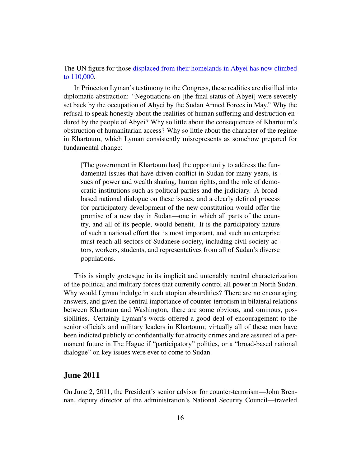The UN figure for those [displaced from their homelands in Abyei has now climbed](http://www.un.org/apps/news/story.asp?NewsID=39957&Cr=abyei&Cr1=) [to 110,000.](http://www.un.org/apps/news/story.asp?NewsID=39957&Cr=abyei&Cr1=)

In Princeton Lyman's testimony to the Congress, these realities are distilled into diplomatic abstraction: "Negotiations on [the final status of Abyei] were severely set back by the occupation of Abyei by the Sudan Armed Forces in May." Why the refusal to speak honestly about the realities of human suffering and destruction endured by the people of Abyei? Why so little about the consequences of Khartoum's obstruction of humanitarian access? Why so little about the character of the regime in Khartoum, which Lyman consistently misrepresents as somehow prepared for fundamental change:

[The government in Khartoum has] the opportunity to address the fundamental issues that have driven conflict in Sudan for many years, issues of power and wealth sharing, human rights, and the role of democratic institutions such as political parties and the judiciary. A broadbased national dialogue on these issues, and a clearly defined process for participatory development of the new constitution would offer the promise of a new day in Sudan—one in which all parts of the country, and all of its people, would benefit. It is the participatory nature of such a national effort that is most important, and such an enterprise must reach all sectors of Sudanese society, including civil society actors, workers, students, and representatives from all of Sudan's diverse populations.

This is simply grotesque in its implicit and untenably neutral characterization of the political and military forces that currently control all power in North Sudan. Why would Lyman indulge in such utopian absurdities? There are no encouraging answers, and given the central importance of counter-terrorism in bilateral relations between Khartoum and Washington, there are some obvious, and ominous, possibilities. Certainly Lyman's words offered a good deal of encouragement to the senior officials and military leaders in Khartoum; virtually all of these men have been indicted publicly or confidentially for atrocity crimes and are assured of a permanent future in The Hague if "participatory" politics, or a "broad-based national dialogue" on key issues were ever to come to Sudan.

#### June 2011

On June 2, 2011, the President's senior advisor for counter-terrorism—John Brennan, deputy director of the administration's National Security Council—traveled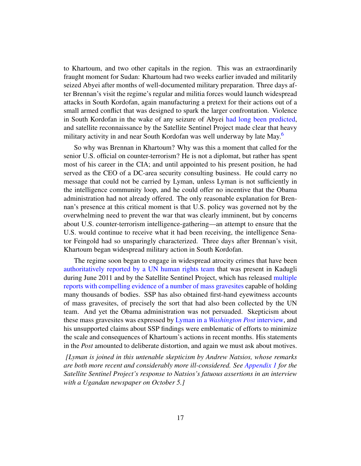to Khartoum, and two other capitals in the region. This was an extraordinarily fraught moment for Sudan: Khartoum had two weeks earlier invaded and militarily seized Abyei after months of well-documented military preparation. Three days after Brennan's visit the regime's regular and militia forces would launch widespread attacks in South Kordofan, again manufacturing a pretext for their actions out of a small armed conflict that was designed to spark the larger confrontation. Violence in South Kordofan in the wake of any seizure of Abyei [had long been predicted,](http://dissentmagazine.org/atw.php?id=396) and satellite reconnaissance by the Satellite Sentinel Project made clear that heavy military activity in and near South Kordofan was well underway by late May.<sup>6</sup>

<span id="page-16-0"></span>So why was Brennan in Khartoum? Why was this a moment that called for the senior U.S. official on counter-terrorism? He is not a diplomat, but rather has spent most of his career in the CIA; and until appointed to his present position, he had served as the CEO of a DC-area security consulting business. He could carry no message that could not be carried by Lyman, unless Lyman is not sufficiently in the intelligence community loop, and he could offer no incentive that the Obama administration had not already offered. The only reasonable explanation for Brennan's presence at this critical moment is that U.S. policy was governed not by the overwhelming need to prevent the war that was clearly imminent, but by concerns about U.S. counter-terrorism intelligence-gathering—an attempt to ensure that the U.S. would continue to receive what it had been receiving, the intelligence Senator Feingold had so unsparingly characterized. Three days after Brennan's visit, Khartoum began widespread military action in South Kordofan.

The regime soon began to engage in widespread atrocity crimes that have been [authoritatively reported by a UN human rights team](http://www.sudantribune.com/UNMIS-report-on-the-human-rights,39570) that was present in Kadugli during June 2011 and by the Satellite Sentinel Project, which has released [multiple](http://www.satsentinel.org/reports) [reports with compelling evidence of a number of mass gravesites](http://www.satsentinel.org/reports) capable of holding many thousands of bodies. SSP has also obtained first-hand eyewitness accounts of mass gravesites, of precisely the sort that had also been collected by the UN team. And yet the Obama administration was not persuaded. Skepticism about these mass gravesites was expressed by Lyman in a *[Washington Post](http://www.washingtonpost.com/world/national-security/us-government-cannot-confirm-mass-graves-in-sudan/2011/07/20/gIQALIqeQI_story.html)* interview, and his unsupported claims about SSP findings were emblematic of efforts to minimize the scale and consequences of Khartoum's actions in recent months. His statements in the *Post* amounted to deliberate distortion, and again we must ask about motives.

*[Lyman is joined in this untenable skepticism by Andrew Natsios, whose remarks are both more recent and considerably more ill-considered. See [Appendix 1](#page-19-0) for the Satellite Sentinel Project's response to Natsios's fatuous assertions in an interview with a Ugandan newspaper on October 5.]*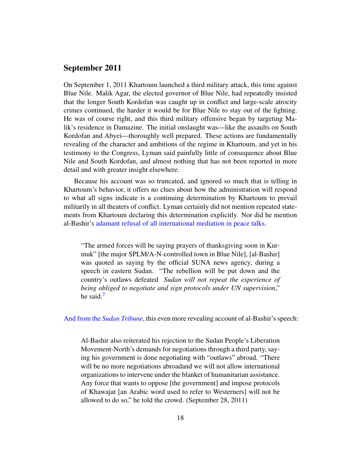#### September 2011

On September 1, 2011 Khartoum launched a third military attack, this time against Blue Nile. Malik Agar, the elected governor of Blue Nile, had repeatedly insisted that the longer South Kordofan was caught up in conflict and large-scale atrocity crimes continued, the harder it would be for Blue Nile to stay out of the fighting. He was of course right, and this third military offensive began by targeting Malik's residence in Damazine. The initial onslaught was—like the assaults on South Kordofan and Abyei—thoroughly well prepared. These actions are fundamentally revealing of the character and ambitions of the regime in Khartoum, and yet in his testimony to the Congress, Lyman said painfully little of consequence about Blue Nile and South Kordofan, and almost nothing that has not been reported in more detail and with greater insight elsewhere.

Because his account was so truncated, and ignored so much that is telling in Khartoum's behavior, it offers no clues about how the administration will respond to what all signs indicate is a continuing determination by Khartoum to prevail militarily in all theaters of conflict. Lyman certainly did not mention repeated statements from Khartoum declaring this determination explicitly. Nor did he mention al-Bashir's [adamant refusal of all international mediation in peace talks.](http://www.google.com/hostednews/afp/article/ALeqM5g7IXYKzuySExfSFmT02YPEJA-9ig?docId=CNG.a74b73b5ae6d1ed2253441687f7eeda4.4a1)

"The armed forces will be saying prayers of thanksgiving soon in Kurmuk" [the major SPLM/A-N-controlled town in Blue Nile], [al-Bashir] was quoted as saying by the official SUNA news agency, during a speech in eastern Sudan. "The rebellion will be put down and the country's outlaws defeated *Sudan will not repeat the experience of being obliged to negotiate and sign protocols under UN supervision*," he said[.7](#page-22-6)

<span id="page-17-0"></span>And from the *[Sudan Tribune](http://www.sudantribune.com/Bashir-says-Sudan-s-army-to,40278)*, this even more revealing account of al-Bashir's speech:

Al-Bashir also reiterated his rejection to the Sudan People's Liberation Movement-North's demands for negotiations through a third party, saying his government is done negotiating with "outlaws" abroad. "There will be no more negotiations abroadand we will not allow international organizations to intervene under the blanket of humanitarian assistance. Any force that wants to oppose [the government] and impose protocols of Khawajat [an Arabic word used to refer to Westerners] will not be allowed to do so," he told the crowd. (September 28, 2011)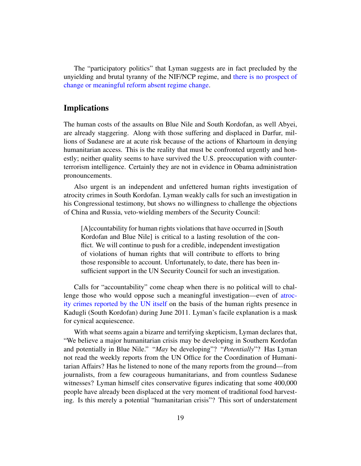The "participatory politics" that Lyman suggests are in fact precluded by the unyielding and brutal tyranny of the NIF/NCP regime, and [there is no prospect of](http://www.washingtonpost.com/wp-dyn/articles/A25073-2004Aug22.html) [change or meaningful reform absent regime change.](http://www.washingtonpost.com/wp-dyn/articles/A25073-2004Aug22.html)

### Implications

The human costs of the assaults on Blue Nile and South Kordofan, as well Abyei, are already staggering. Along with those suffering and displaced in Darfur, millions of Sudanese are at acute risk because of the actions of Khartoum in denying humanitarian access. This is the reality that must be confronted urgently and honestly; neither quality seems to have survived the U.S. preoccupation with counterterrorism intelligence. Certainly they are not in evidence in Obama administration pronouncements.

Also urgent is an independent and unfettered human rights investigation of atrocity crimes in South Kordofan. Lyman weakly calls for such an investigation in his Congressional testimony, but shows no willingness to challenge the objections of China and Russia, veto-wielding members of the Security Council:

[A]ccountability for human rights violations that have occurred in [South Kordofan and Blue Nile] is critical to a lasting resolution of the conflict. We will continue to push for a credible, independent investigation of violations of human rights that will contribute to efforts to bring those responsible to account. Unfortunately, to date, there has been insufficient support in the UN Security Council for such an investigation.

Calls for "accountability" come cheap when there is no political will to challenge those who would oppose such a meaningful investigation—even of [atroc](http://www.sudantribune.com/UNMIS-report-on-the-human-rights,39570)[ity crimes reported by the UN itself](http://www.sudantribune.com/UNMIS-report-on-the-human-rights,39570) on the basis of the human rights presence in Kadugli (South Kordofan) during June 2011. Lyman's facile explanation is a mask for cynical acquiescence.

With what seems again a bizarre and terrifying skepticism, Lyman declares that, "We believe a major humanitarian crisis may be developing in Southern Kordofan and potentially in Blue Nile." "*May* be developing"? "*Potentially*"? Has Lyman not read the weekly reports from the UN Office for the Coordination of Humanitarian Affairs? Has he listened to none of the many reports from the ground—from journalists, from a few courageous humanitarians, and from countless Sudanese witnesses? Lyman himself cites conservative figures indicating that some 400,000 people have already been displaced at the very moment of traditional food harvesting. Is this merely a potential "humanitarian crisis"? This sort of understatement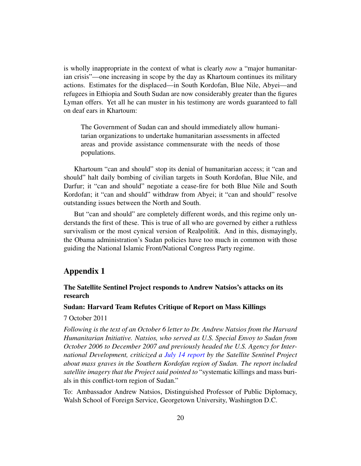is wholly inappropriate in the context of what is clearly *now* a "major humanitarian crisis"—one increasing in scope by the day as Khartoum continues its military actions. Estimates for the displaced—in South Kordofan, Blue Nile, Abyei—and refugees in Ethiopia and South Sudan are now considerably greater than the figures Lyman offers. Yet all he can muster in his testimony are words guaranteed to fall on deaf ears in Khartoum:

The Government of Sudan can and should immediately allow humanitarian organizations to undertake humanitarian assessments in affected areas and provide assistance commensurate with the needs of those populations.

Khartoum "can and should" stop its denial of humanitarian access; it "can and should" halt daily bombing of civilian targets in South Kordofan, Blue Nile, and Darfur; it "can and should" negotiate a cease-fire for both Blue Nile and South Kordofan; it "can and should" withdraw from Abyei; it "can and should" resolve outstanding issues between the North and South.

But "can and should" are completely different words, and this regime only understands the first of these. This is true of all who are governed by either a ruthless survivalism or the most cynical version of Realpolitik. And in this, dismayingly, the Obama administration's Sudan policies have too much in common with those guiding the National Islamic Front/National Congress Party regime.

## <span id="page-19-0"></span>Appendix 1

#### The Satellite Sentinel Project responds to Andrew Natsios's attacks on its research

#### Sudan: Harvard Team Refutes Critique of Report on Mass Killings

#### 7 October 2011

*Following is the text of an October 6 letter to Dr. Andrew Natsios from the Harvard Humanitarian Initiative. Natsios, who served as U.S. Special Envoy to Sudan from October 2006 to December 2007 and previously headed the U.S. Agency for International Development, criticized a [July 14 report](http://allafrica.com/stories/201107141150.html) by the Satellite Sentinel Project about mass graves in the Southern Kordofan region of Sudan. The report included satellite imagery that the Project said pointed to* "systematic killings and mass burials in this conflict-torn region of Sudan."

To: Ambassador Andrew Natsios, Distinguished Professor of Public Diplomacy, Walsh School of Foreign Service, Georgetown University, Washington D.C.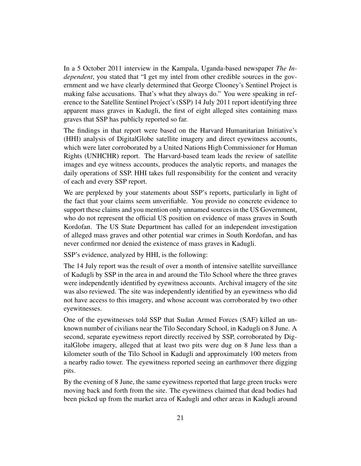In a 5 October 2011 interview in the Kampala, Uganda-based newspaper *The Independent*, you stated that "I get my intel from other credible sources in the government and we have clearly determined that George Clooney's Sentinel Project is making false accusations. That's what they always do." You were speaking in reference to the Satellite Sentinel Project's (SSP) 14 July 2011 report identifying three apparent mass graves in Kadugli, the first of eight alleged sites containing mass graves that SSP has publicly reported so far.

The findings in that report were based on the Harvard Humanitarian Initiative's (HHI) analysis of DigitalGlobe satellite imagery and direct eyewitness accounts, which were later corroborated by a United Nations High Commissioner for Human Rights (UNHCHR) report. The Harvard-based team leads the review of satellite images and eye witness accounts, produces the analytic reports, and manages the daily operations of SSP. HHI takes full responsibility for the content and veracity of each and every SSP report.

We are perplexed by your statements about SSP's reports, particularly in light of the fact that your claims seem unverifiable. You provide no concrete evidence to support these claims and you mention only unnamed sources in the US Government, who do not represent the official US position on evidence of mass graves in South Kordofan. The US State Department has called for an independent investigation of alleged mass graves and other potential war crimes in South Kordofan, and has never confirmed nor denied the existence of mass graves in Kadugli.

SSP's evidence, analyzed by HHI, is the following:

The 14 July report was the result of over a month of intensive satellite surveillance of Kadugli by SSP in the area in and around the Tilo School where the three graves were independently identified by eyewitness accounts. Archival imagery of the site was also reviewed. The site was independently identified by an eyewitness who did not have access to this imagery, and whose account was corroborated by two other eyewitnesses.

One of the eyewitnesses told SSP that Sudan Armed Forces (SAF) killed an unknown number of civilians near the Tilo Secondary School, in Kadugli on 8 June. A second, separate eyewitness report directly received by SSP, corroborated by DigitalGlobe imagery, alleged that at least two pits were dug on 8 June less than a kilometer south of the Tilo School in Kadugli and approximately 100 meters from a nearby radio tower. The eyewitness reported seeing an earthmover there digging pits.

By the evening of 8 June, the same eyewitness reported that large green trucks were moving back and forth from the site. The eyewitness claimed that dead bodies had been picked up from the market area of Kadugli and other areas in Kadugli around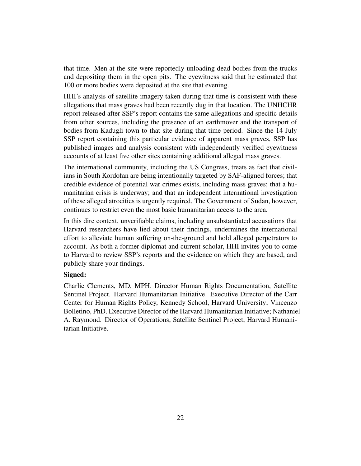that time. Men at the site were reportedly unloading dead bodies from the trucks and depositing them in the open pits. The eyewitness said that he estimated that 100 or more bodies were deposited at the site that evening.

HHI's analysis of satellite imagery taken during that time is consistent with these allegations that mass graves had been recently dug in that location. The UNHCHR report released after SSP's report contains the same allegations and specific details from other sources, including the presence of an earthmover and the transport of bodies from Kadugli town to that site during that time period. Since the 14 July SSP report containing this particular evidence of apparent mass graves, SSP has published images and analysis consistent with independently verified eyewitness accounts of at least five other sites containing additional alleged mass graves.

The international community, including the US Congress, treats as fact that civilians in South Kordofan are being intentionally targeted by SAF-aligned forces; that credible evidence of potential war crimes exists, including mass graves; that a humanitarian crisis is underway; and that an independent international investigation of these alleged atrocities is urgently required. The Government of Sudan, however, continues to restrict even the most basic humanitarian access to the area.

In this dire context, unverifiable claims, including unsubstantiated accusations that Harvard researchers have lied about their findings, undermines the international effort to alleviate human suffering on-the-ground and hold alleged perpetrators to account. As both a former diplomat and current scholar, HHI invites you to come to Harvard to review SSP's reports and the evidence on which they are based, and publicly share your findings.

#### Signed:

Charlie Clements, MD, MPH. Director Human Rights Documentation, Satellite Sentinel Project. Harvard Humanitarian Initiative. Executive Director of the Carr Center for Human Rights Policy, Kennedy School, Harvard University; Vincenzo Bolletino, PhD. Executive Director of the Harvard Humanitarian Initiative; Nathaniel A. Raymond. Director of Operations, Satellite Sentinel Project, Harvard Humanitarian Initiative.